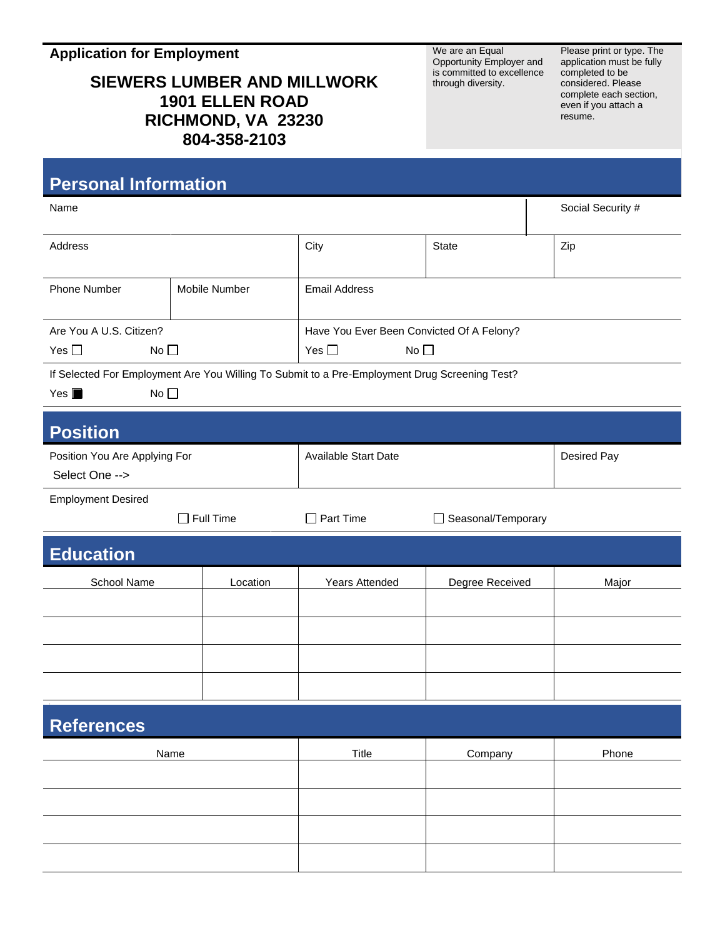**Application for Employment**

## **SIEWERS LUMBER AND MILLWORK 1901 ELLEN ROAD RICHMOND, VA 23230 804-358-2103**

We are an Equal Opportunity Employer and is committed to excellence through diversity.

Please print or type. The application must be fully completed to be considered. Please complete each section, even if you attach a resume.

| <b>Personal Information</b>                                                                                                            |                  |                                           |                    |                   |  |
|----------------------------------------------------------------------------------------------------------------------------------------|------------------|-------------------------------------------|--------------------|-------------------|--|
| Name                                                                                                                                   |                  |                                           |                    | Social Security # |  |
| Address                                                                                                                                |                  | City                                      | <b>State</b>       | Zip               |  |
| Phone Number                                                                                                                           | Mobile Number    | <b>Email Address</b>                      |                    |                   |  |
| Are You A U.S. Citizen?                                                                                                                |                  | Have You Ever Been Convicted Of A Felony? |                    |                   |  |
| No <sub>1</sub><br>Yes $\square$                                                                                                       |                  | Yes $\square$<br>No $\square$             |                    |                   |  |
| If Selected For Employment Are You Willing To Submit to a Pre-Employment Drug Screening Test?<br>$Yes \blacksquare$<br>No <sub>1</sub> |                  |                                           |                    |                   |  |
| <b>Position</b>                                                                                                                        |                  |                                           |                    |                   |  |
| Position You Are Applying For                                                                                                          |                  | <b>Available Start Date</b>               |                    | Desired Pay       |  |
| Select One -->                                                                                                                         |                  |                                           |                    |                   |  |
| <b>Employment Desired</b>                                                                                                              |                  |                                           |                    |                   |  |
|                                                                                                                                        | $\Box$ Full Time | $\Box$ Part Time                          | Seasonal/Temporary |                   |  |
| <b>Education</b>                                                                                                                       |                  |                                           |                    |                   |  |
| School Name                                                                                                                            | Location         | Years Attended                            | Degree Received    | Major             |  |
|                                                                                                                                        |                  |                                           |                    |                   |  |
|                                                                                                                                        |                  |                                           |                    |                   |  |
|                                                                                                                                        |                  |                                           |                    |                   |  |
|                                                                                                                                        |                  |                                           |                    |                   |  |
| <b>References</b>                                                                                                                      |                  |                                           |                    |                   |  |
| Name                                                                                                                                   |                  | Title                                     | Company            | Phone             |  |
|                                                                                                                                        |                  |                                           |                    |                   |  |
|                                                                                                                                        |                  |                                           |                    |                   |  |
|                                                                                                                                        |                  |                                           |                    |                   |  |
|                                                                                                                                        |                  |                                           |                    |                   |  |